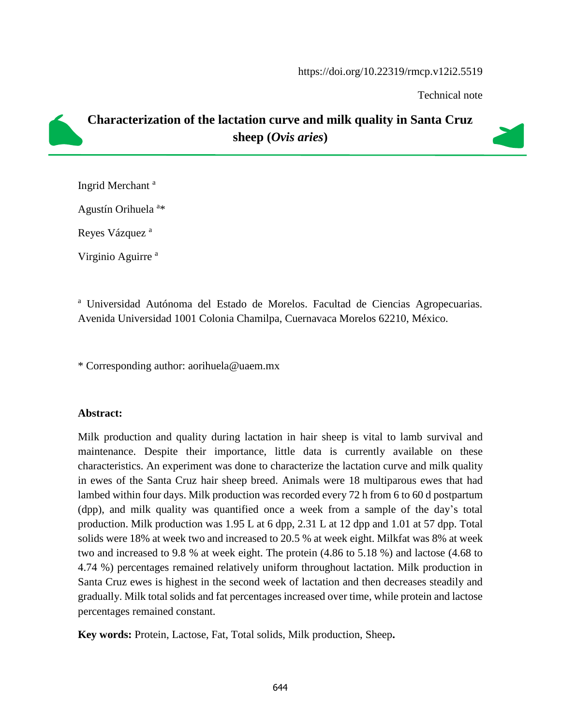#### https://doi.org/10.22319/rmcp.v12i2.5519

Technical note

# **Characterization of the lactation curve and milk quality in Santa Cruz sheep (***Ovis aries***)**

Ingrid Merchant<sup>a</sup>

Agustín Orihuela<sup>a\*</sup>

Reyes Vázquez<sup>a</sup>

Virginio Aguirre<sup>a</sup>

<sup>a</sup> Universidad Autónoma del Estado de Morelos. Facultad de Ciencias Agropecuarias. Avenida Universidad 1001 Colonia Chamilpa, Cuernavaca Morelos 62210, México.

\* Corresponding author: aorihuela@uaem.mx

## **Abstract:**

Milk production and quality during lactation in hair sheep is vital to lamb survival and maintenance. Despite their importance, little data is currently available on these characteristics. An experiment was done to characterize the lactation curve and milk quality in ewes of the Santa Cruz hair sheep breed. Animals were 18 multiparous ewes that had lambed within four days. Milk production was recorded every 72 h from 6 to 60 d postpartum (dpp), and milk quality was quantified once a week from a sample of the day's total production. Milk production was 1.95 L at 6 dpp, 2.31 L at 12 dpp and 1.01 at 57 dpp. Total solids were 18% at week two and increased to 20.5 % at week eight. Milkfat was 8% at week two and increased to 9.8 % at week eight. The protein (4.86 to 5.18 %) and lactose (4.68 to 4.74 %) percentages remained relatively uniform throughout lactation. Milk production in Santa Cruz ewes is highest in the second week of lactation and then decreases steadily and gradually. Milk total solids and fat percentages increased over time, while protein and lactose percentages remained constant.

**Key words:** Protein, Lactose, Fat, Total solids, Milk production, Sheep**.**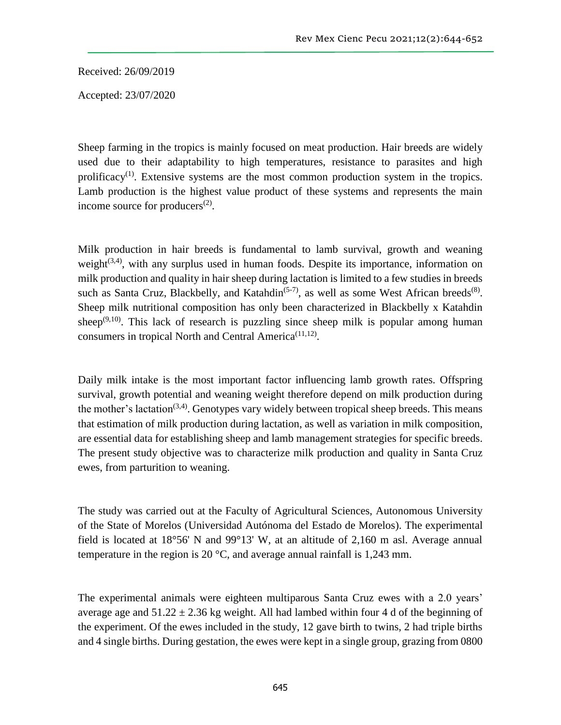Received: 26/09/2019

Accepted: 23/07/2020

Sheep farming in the tropics is mainly focused on meat production. Hair breeds are widely used due to their adaptability to high temperatures, resistance to parasites and high prolificacy<sup>(1)</sup>. Extensive systems are the most common production system in the tropics. Lamb production is the highest value product of these systems and represents the main income source for producers $(2)$ .

Milk production in hair breeds is fundamental to lamb survival, growth and weaning weight $(3,4)$ , with any surplus used in human foods. Despite its importance, information on milk production and quality in hair sheep during lactation is limited to a few studies in breeds such as Santa Cruz, Blackbelly, and Katahdin<sup>(5-7)</sup>, as well as some West African breeds<sup>(8)</sup>. Sheep milk nutritional composition has only been characterized in Blackbelly x Katahdin sheep<sup> $(9,10)$ </sup>. This lack of research is puzzling since sheep milk is popular among human consumers in tropical North and Central America<sup>(11,12)</sup>.

Daily milk intake is the most important factor influencing lamb growth rates. Offspring survival, growth potential and weaning weight therefore depend on milk production during the mother's lactation<sup> $(3,4)$ </sup>. Genotypes vary widely between tropical sheep breeds. This means that estimation of milk production during lactation, as well as variation in milk composition, are essential data for establishing sheep and lamb management strategies for specific breeds. The present study objective was to characterize milk production and quality in Santa Cruz ewes, from parturition to weaning.

The study was carried out at the Faculty of Agricultural Sciences, Autonomous University of the State of Morelos (Universidad Autónoma del Estado de Morelos). The experimental field is located at 18°56' N and 99°13' W, at an altitude of 2,160 m asl. Average annual temperature in the region is 20 °C, and average annual rainfall is 1,243 mm.

The experimental animals were eighteen multiparous Santa Cruz ewes with a 2.0 years' average age and  $51.22 \pm 2.36$  kg weight. All had lambed within four 4 d of the beginning of the experiment. Of the ewes included in the study, 12 gave birth to twins, 2 had triple births and 4 single births. During gestation, the ewes were kept in a single group, grazing from 0800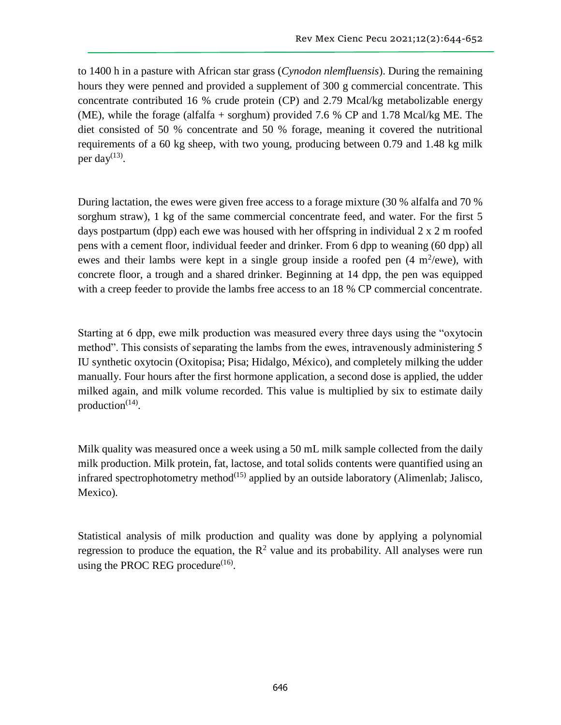to 1400 h in a pasture with African star grass (*Cynodon nlemfluensis*). During the remaining hours they were penned and provided a supplement of 300 g commercial concentrate. This concentrate contributed 16 % crude protein (CP) and 2.79 Mcal/kg metabolizable energy (ME), while the forage (alfalfa + sorghum) provided 7.6 % CP and 1.78 Mcal/kg ME. The diet consisted of 50 % concentrate and 50 % forage, meaning it covered the nutritional requirements of a 60 kg sheep, with two young, producing between 0.79 and 1.48 kg milk per day $^{(13)}$ .

During lactation, the ewes were given free access to a forage mixture (30 % alfalfa and 70 % sorghum straw), 1 kg of the same commercial concentrate feed, and water. For the first 5 days postpartum (dpp) each ewe was housed with her offspring in individual 2 x 2 m roofed pens with a cement floor, individual feeder and drinker. From 6 dpp to weaning (60 dpp) all ewes and their lambs were kept in a single group inside a roofed pen  $(4 \text{ m}^2/\text{ewe})$ , with concrete floor, a trough and a shared drinker. Beginning at 14 dpp, the pen was equipped with a creep feeder to provide the lambs free access to an 18 % CP commercial concentrate.

Starting at 6 dpp, ewe milk production was measured every three days using the "oxytocin method". This consists of separating the lambs from the ewes, intravenously administering 5 IU synthetic oxytocin (Oxitopisa; Pisa; Hidalgo, México), and completely milking the udder manually. Four hours after the first hormone application, a second dose is applied, the udder milked again, and milk volume recorded. This value is multiplied by six to estimate daily production $(14)$ .

Milk quality was measured once a week using a 50 mL milk sample collected from the daily milk production. Milk protein, fat, lactose, and total solids contents were quantified using an infrared spectrophotometry method $(15)$  applied by an outside laboratory (Alimenlab; Jalisco, Mexico).

Statistical analysis of milk production and quality was done by applying a polynomial regression to produce the equation, the  $\mathbb{R}^2$  value and its probability. All analyses were run using the PROC REG procedure $^{(16)}$ .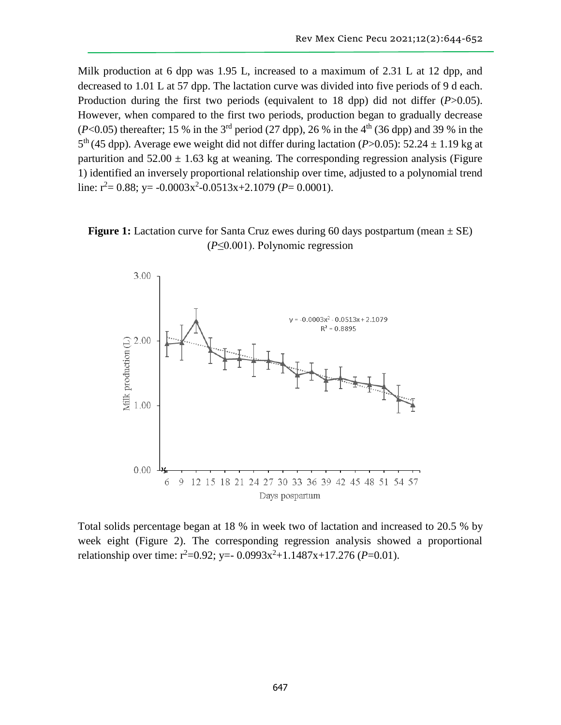Milk production at 6 dpp was 1.95 L, increased to a maximum of 2.31 L at 12 dpp, and decreased to 1.01 L at 57 dpp. The lactation curve was divided into five periods of 9 d each. Production during the first two periods (equivalent to 18 dpp) did not differ (*P*>0.05). However, when compared to the first two periods, production began to gradually decrease  $(P<0.05)$  thereafter; 15 % in the 3<sup>rd</sup> period (27 dpp), 26 % in the 4<sup>th</sup> (36 dpp) and 39 % in the  $5<sup>th</sup>$  (45 dpp). Average ewe weight did not differ during lactation (*P*>0.05): 52.24  $\pm$  1.19 kg at parturition and  $52.00 \pm 1.63$  kg at weaning. The corresponding regression analysis (Figure 1) identified an inversely proportional relationship over time, adjusted to a polynomial trend line:  $r^2$  = 0.88; y = -0.0003x<sup>2</sup> -0.0513x + 2.1079 (*P* = 0.0001).





Total solids percentage began at 18 % in week two of lactation and increased to 20.5 % by week eight (Figure 2). The corresponding regression analysis showed a proportional relationship over time:  $r^2=0.92$ ; y=- 0.0993x<sup>2</sup>+1.1487x+17.276 (*P*=0.01).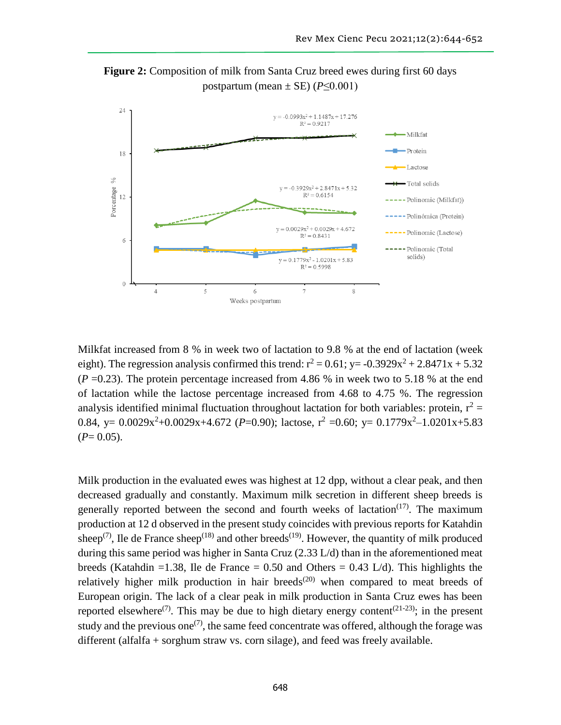



Milkfat increased from 8 % in week two of lactation to 9.8 % at the end of lactation (week eight). The regression analysis confirmed this trend:  $r^2 = 0.61$ ; y=  $-0.3929x^2 + 2.8471x + 5.32$  $(P = 0.23)$ . The protein percentage increased from 4.86 % in week two to 5.18 % at the end of lactation while the lactose percentage increased from 4.68 to 4.75 %. The regression analysis identified minimal fluctuation throughout lactation for both variables: protein,  $r^2$  = 0.84, y=  $0.0029x^2+0.0029x+4.672$  (*P*=0.90); lactose,  $r^2$  =0.60; y=  $0.1779x^2-1.0201x+5.83$  $(P= 0.05)$ .

Milk production in the evaluated ewes was highest at 12 dpp, without a clear peak, and then decreased gradually and constantly. Maximum milk secretion in different sheep breeds is generally reported between the second and fourth weeks of lactation<sup> $(17)$ </sup>. The maximum production at 12 d observed in the present study coincides with previous reports for Katahdin sheep<sup>(7)</sup>, Ile de France sheep<sup>(18)</sup> and other breeds<sup>(19)</sup>. However, the quantity of milk produced during this same period was higher in Santa Cruz (2.33 L/d) than in the aforementioned meat breeds (Katahdin =1.38, Ile de France =  $0.50$  and Others =  $0.43$  L/d). This highlights the relatively higher milk production in hair breeds<sup> $(20)$ </sup> when compared to meat breeds of European origin. The lack of a clear peak in milk production in Santa Cruz ewes has been reported elsewhere<sup>(7)</sup>. This may be due to high dietary energy content<sup>(21-23)</sup>; in the present study and the previous one<sup>(7)</sup>, the same feed concentrate was offered, although the forage was different (alfalfa + sorghum straw vs. corn silage), and feed was freely available.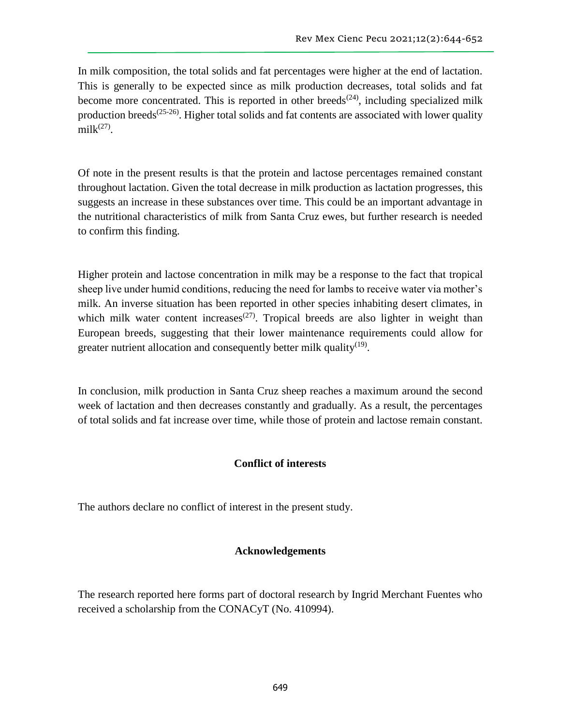In milk composition, the total solids and fat percentages were higher at the end of lactation. This is generally to be expected since as milk production decreases, total solids and fat become more concentrated. This is reported in other breeds<sup> $(24)$ </sup>, including specialized milk production breeds<sup> $(25-26)$ </sup>. Higher total solids and fat contents are associated with lower quality  $milk<sup>(27)</sup>$ .

Of note in the present results is that the protein and lactose percentages remained constant throughout lactation. Given the total decrease in milk production as lactation progresses, this suggests an increase in these substances over time. This could be an important advantage in the nutritional characteristics of milk from Santa Cruz ewes, but further research is needed to confirm this finding.

Higher protein and lactose concentration in milk may be a response to the fact that tropical sheep live under humid conditions, reducing the need for lambs to receive water via mother's milk. An inverse situation has been reported in other species inhabiting desert climates, in which milk water content increases<sup> $(27)$ </sup>. Tropical breeds are also lighter in weight than European breeds, suggesting that their lower maintenance requirements could allow for greater nutrient allocation and consequently better milk quality<sup>(19)</sup>.

In conclusion, milk production in Santa Cruz sheep reaches a maximum around the second week of lactation and then decreases constantly and gradually. As a result, the percentages of total solids and fat increase over time, while those of protein and lactose remain constant.

## **Conflict of interests**

The authors declare no conflict of interest in the present study.

## **Acknowledgements**

The research reported here forms part of doctoral research by Ingrid Merchant Fuentes who received a scholarship from the CONACyT (No. 410994).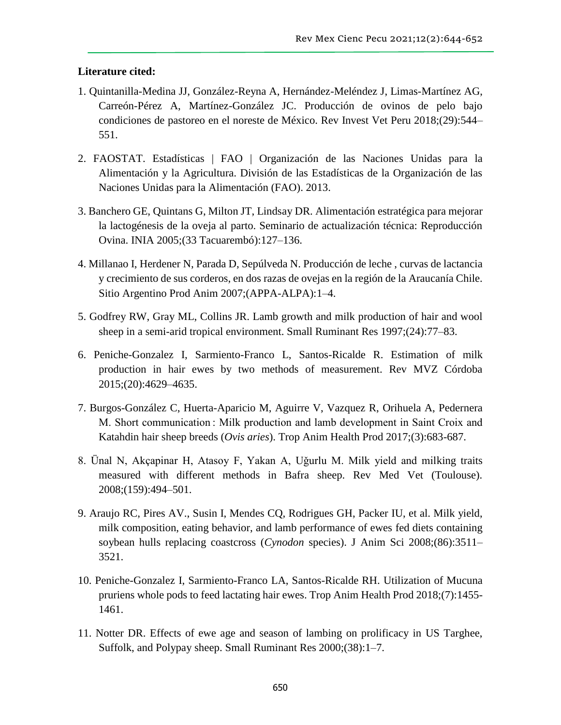### **Literature cited:**

- 1. Quintanilla-Medina JJ, González-Reyna A, Hernández-Meléndez J, Limas-Martínez AG, Carreón-Pérez A, Martínez-González JC. Producción de ovinos de pelo bajo condiciones de pastoreo en el noreste de México. Rev Invest Vet Peru 2018;(29):544– 551.
- 2. FAOSTAT. Estadísticas | FAO | Organización de las Naciones Unidas para la Alimentación y la Agricultura. División de las Estadísticas de la Organización de las Naciones Unidas para la Alimentación (FAO). 2013.
- 3. Banchero GE, Quintans G, Milton JT, Lindsay DR. Alimentación estratégica para mejorar la lactogénesis de la oveja al parto. Seminario de actualización técnica: Reproducción Ovina. INIA 2005;(33 Tacuarembó):127–136.
- 4. Millanao I, Herdener N, Parada D, Sepúlveda N. Producción de leche , curvas de lactancia y crecimiento de sus corderos, en dos razas de ovejas en la región de la Araucanía Chile. Sitio Argentino Prod Anim 2007;(APPA-ALPA):1–4.
- 5. Godfrey RW, Gray ML, Collins JR. Lamb growth and milk production of hair and wool sheep in a semi-arid tropical environment. Small Ruminant Res 1997;(24):77–83.
- 6. Peniche-Gonzalez I, Sarmiento-Franco L, Santos-Ricalde R. Estimation of milk production in hair ewes by two methods of measurement. Rev MVZ Córdoba 2015;(20):4629–4635.
- 7. Burgos-González C, Huerta-Aparicio M, Aguirre V, Vazquez R, Orihuela A, Pedernera M. Short communication : Milk production and lamb development in Saint Croix and Katahdin hair sheep breeds (*Ovis aries*). Trop Anim Health Prod 2017;(3):683-687.
- 8. Ünal N, Akçapinar H, Atasoy F, Yakan A, Uǧurlu M. Milk yield and milking traits measured with different methods in Bafra sheep. Rev Med Vet (Toulouse). 2008;(159):494–501.
- 9. Araujo RC, Pires AV., Susin I, Mendes CQ, Rodrigues GH, Packer IU, et al. Milk yield, milk composition, eating behavior, and lamb performance of ewes fed diets containing soybean hulls replacing coastcross (*Cynodon* species). J Anim Sci 2008;(86):3511– 3521.
- 10. Peniche-Gonzalez I, Sarmiento-Franco LA, Santos-Ricalde RH. Utilization of Mucuna pruriens whole pods to feed lactating hair ewes. Trop Anim Health Prod 2018;(7):1455- 1461.
- 11. Notter DR. Effects of ewe age and season of lambing on prolificacy in US Targhee, Suffolk, and Polypay sheep. Small Ruminant Res 2000;(38):1–7.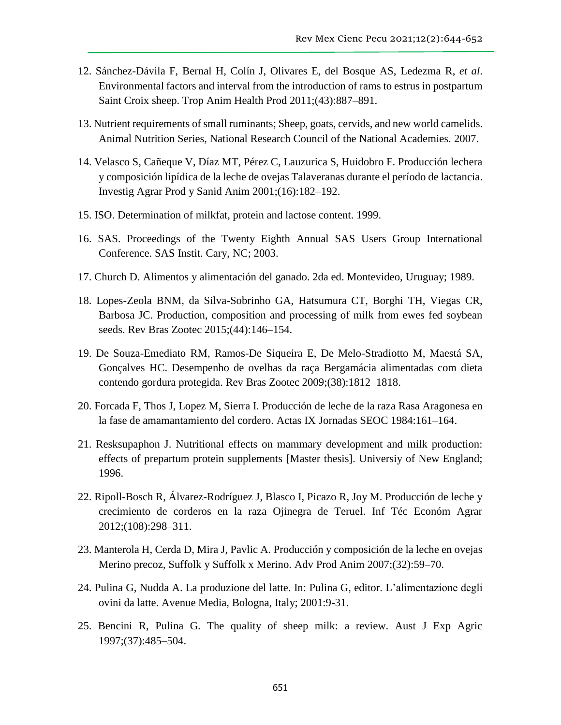- 12. Sánchez-Dávila F, Bernal H, Colín J, Olivares E, del Bosque AS, Ledezma R, *et al*. Environmental factors and interval from the introduction of rams to estrus in postpartum Saint Croix sheep. Trop Anim Health Prod 2011;(43):887–891.
- 13. Nutrient requirements of small ruminants; Sheep, goats, cervids, and new world camelids. Animal Nutrition Series, National Research Council of the National Academies. 2007.
- 14. Velasco S, Cañeque V, Díaz MT, Pérez C, Lauzurica S, Huidobro F. Producción lechera y composición lipídica de la leche de ovejas Talaveranas durante el período de lactancia. Investig Agrar Prod y Sanid Anim 2001;(16):182–192.
- 15. ISO. Determination of milkfat, protein and lactose content. 1999.
- 16. SAS. Proceedings of the Twenty Eighth Annual SAS Users Group International Conference. SAS Instit. Cary, NC; 2003.
- 17. Church D. Alimentos y alimentación del ganado. 2da ed. Montevideo, Uruguay; 1989.
- 18. Lopes-Zeola BNM, da Silva-Sobrinho GA, Hatsumura CT, Borghi TH, Viegas CR, Barbosa JC. Production, composition and processing of milk from ewes fed soybean seeds. Rev Bras Zootec 2015;(44):146–154.
- 19. De Souza-Emediato RM, Ramos-De Siqueira E, De Melo-Stradiotto M, Maestá SA, Gonçalves HC. Desempenho de ovelhas da raça Bergamácia alimentadas com dieta contendo gordura protegida. Rev Bras Zootec 2009;(38):1812–1818.
- 20. Forcada F, Thos J, Lopez M, Sierra I. Producción de leche de la raza Rasa Aragonesa en la fase de amamantamiento del cordero. Actas IX Jornadas SEOC 1984:161–164.
- 21. Resksupaphon J. Nutritional effects on mammary development and milk production: effects of prepartum protein supplements [Master thesis]. Universiy of New England; 1996.
- 22. Ripoll-Bosch R, Álvarez-Rodríguez J, Blasco I, Picazo R, Joy M. Producción de leche y crecimiento de corderos en la raza Ojinegra de Teruel. Inf Téc Económ Agrar 2012;(108):298–311.
- 23. Manterola H, Cerda D, Mira J, Pavlic A. Producción y composición de la leche en ovejas Merino precoz, Suffolk y Suffolk x Merino. Adv Prod Anim 2007;(32):59–70.
- 24. Pulina G, Nudda A. La produzione del latte. In: Pulina G, editor. L'alimentazione degli ovini da latte. Avenue Media, Bologna, Italy; 2001:9-31.
- 25. Bencini R, Pulina G. The quality of sheep milk: a review. Aust J Exp Agric 1997;(37):485–504.